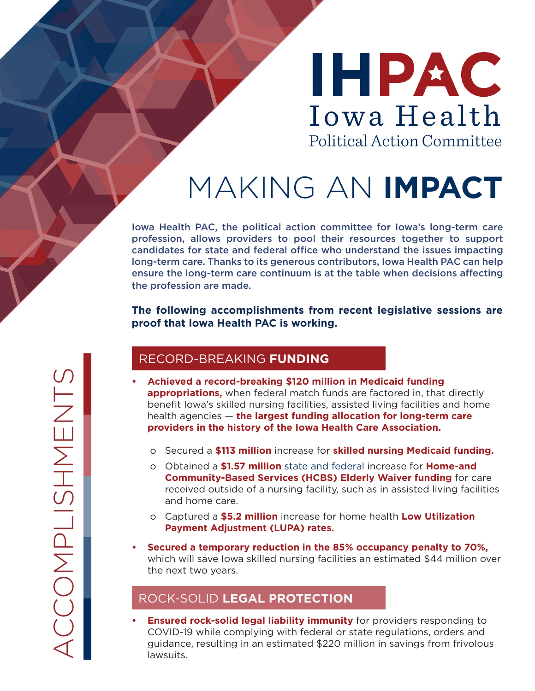# IHPAC Iowa Health **Political Action Committee**

## MAKING AN **IMPACT**

Iowa Health PAC, the political action committee for Iowa's long-term care profession, allows providers to pool their resources together to support candidates for state and federal office who understand the issues impacting long-term care. Thanks to its generous contributors, Iowa Health PAC can help ensure the long-term care continuum is at the table when decisions affecting the profession are made.

**The following accomplishments from recent legislative sessions are proof that Iowa Health PAC is working.**

#### RECORD-BREAKING **FUNDING**

- **• Achieved a record-breaking \$120 million in Medicaid funding appropriations,** when federal match funds are factored in, that directly benefit Iowa's skilled nursing facilities, assisted living facilities and home health agencies — **the largest funding allocation for long-term care providers in the history of the Iowa Health Care Association.**
	- o Secured a **\$113 million** increase for **skilled nursing Medicaid funding.**
	- o Obtained a **\$1.57 million** state and federal increase for **Home-and Community-Based Services (HCBS) Elderly Waiver funding** for care received outside of a nursing facility, such as in assisted living facilities and home care.
	- o Captured a **\$5.2 million** increase for home health **Low Utilization Payment Adjustment (LUPA) rates.**
- **• Secured a temporary reduction in the 85% occupancy penalty to 70%,**  which will save Iowa skilled nursing facilities an estimated \$44 million over the next two years.

## ROCK-SOLID **LEGAL PROTECTION**

**• Ensured rock-solid legal liability immunity** for providers responding to COVID-19 while complying with federal or state regulations, orders and guidance, resulting in an estimated \$220 million in savings from frivolous lawsuits.

CCOMPLISHMENTS ACCOMPLISHMENTS